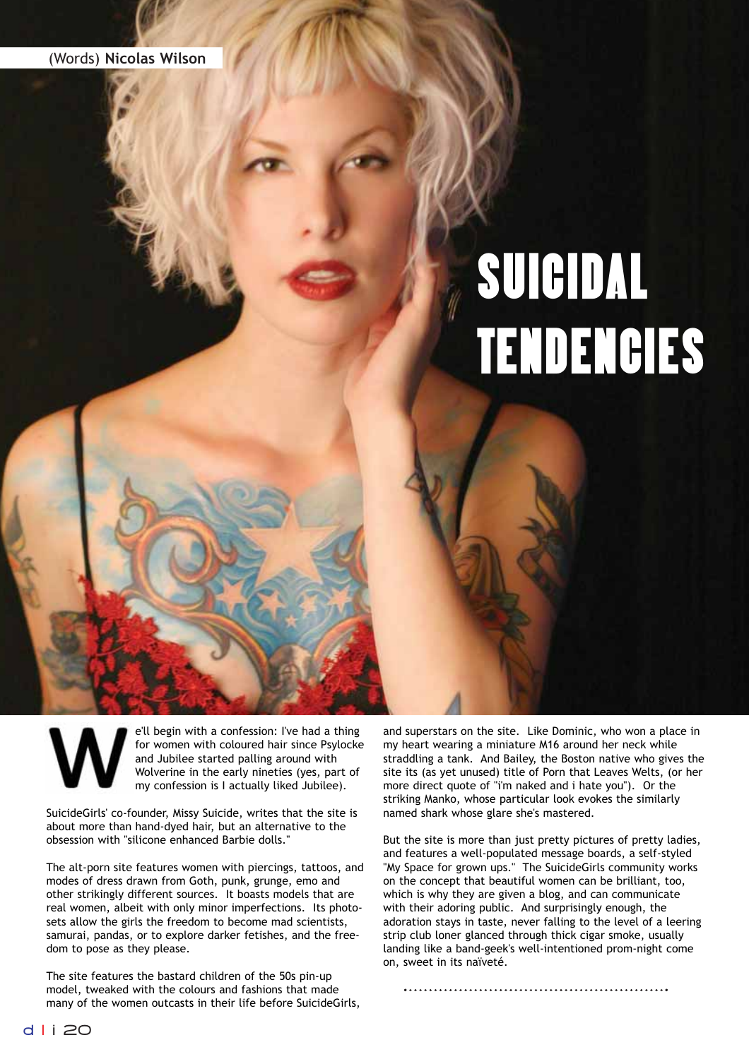## SUICIDAL TENDENCIES

e'll begin with a confession: I've had a thing for women with coloured hair since Psylocke and Jubilee started palling around with Wolverine in the early nineties (yes, part of my confession is I actually liked Jubilee).

SuicideGirls' co-founder, Missy Suicide, writes that the site is about more than hand-dyed hair, but an alternative to the obsession with "silicone enhanced Barbie dolls."

The alt-porn site features women with piercings, tattoos, and modes of dress drawn from Goth, punk, grunge, emo and other strikingly different sources. It boasts models that are real women, albeit with only minor imperfections. Its photosets allow the girls the freedom to become mad scientists, samurai, pandas, or to explore darker fetishes, and the freedom to pose as they please.

The site features the bastard children of the 50s pin-up model, tweaked with the colours and fashions that made many of the women outcasts in their life before SuicideGirls, and superstars on the site. Like Dominic, who won a place in my heart wearing a miniature M16 around her neck while straddling a tank. And Bailey, the Boston native who gives the site its (as yet unused) title of Porn that Leaves Welts, (or her more direct quote of "i'm naked and i hate you"). Or the striking Manko, whose particular look evokes the similarly named shark whose glare she's mastered.

But the site is more than just pretty pictures of pretty ladies, and features a well-populated message boards, a self-styled "My Space for grown ups." The SuicideGirls community works on the concept that beautiful women can be brilliant, too, which is why they are given a blog, and can communicate with their adoring public. And surprisingly enough, the adoration stays in taste, never falling to the level of a leering strip club loner glanced through thick cigar smoke, usually landing like a band-geek's well-intentioned prom-night come on, sweet in its naïveté.

the site owners proudly proclaim it to be in the 2000 most